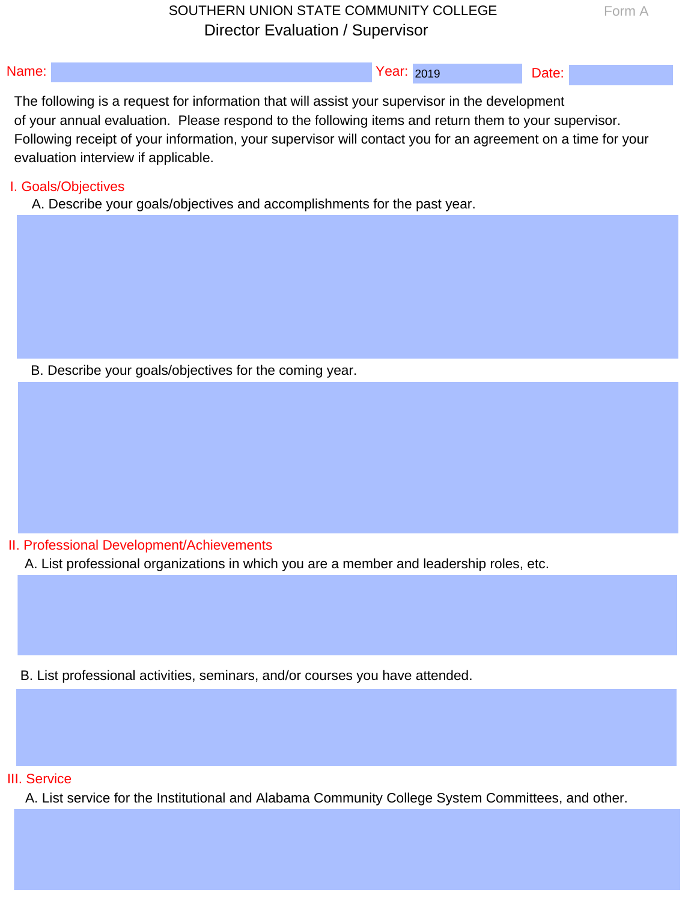# SOUTHERN UNION STATE COMMUNITY COLLEGE Director Evaluation / Supervisor

| <b>IName:</b><br>------ | ear<br>$\cdot$ $\cdot$ $\cdot$ $\cdot$ $\cdot$ $\cdot$ | 2010<br><b>LUIU</b> | 910<br>_____ |  |
|-------------------------|--------------------------------------------------------|---------------------|--------------|--|

The following is a request for information that will assist your supervisor in the development of your annual evaluation. Please respond to the following items and return them to your supervisor. Following receipt of your information, your supervisor will contact you for an agreement on a time for your evaluation interview if applicable.<br>I. Goals/Objectives SOUTHERN UNION STATE COMMUNITY COLLEGE<br>
Predictional and Alabama Community Value of the Institutional and Alabama Community College System Community<br>
Your amount evaluation. Please respond to the Institutionial development

A. Describe your goals/objectives and accomplishments for the past year.

B. Describe your goals/objectives for the coming year.

II. Professional Development/Achievements

A. List professional organizations in which you are a member and leadership roles, etc.

B. List professional activities, seminars, and/or courses you have attended.<br><br>III. Service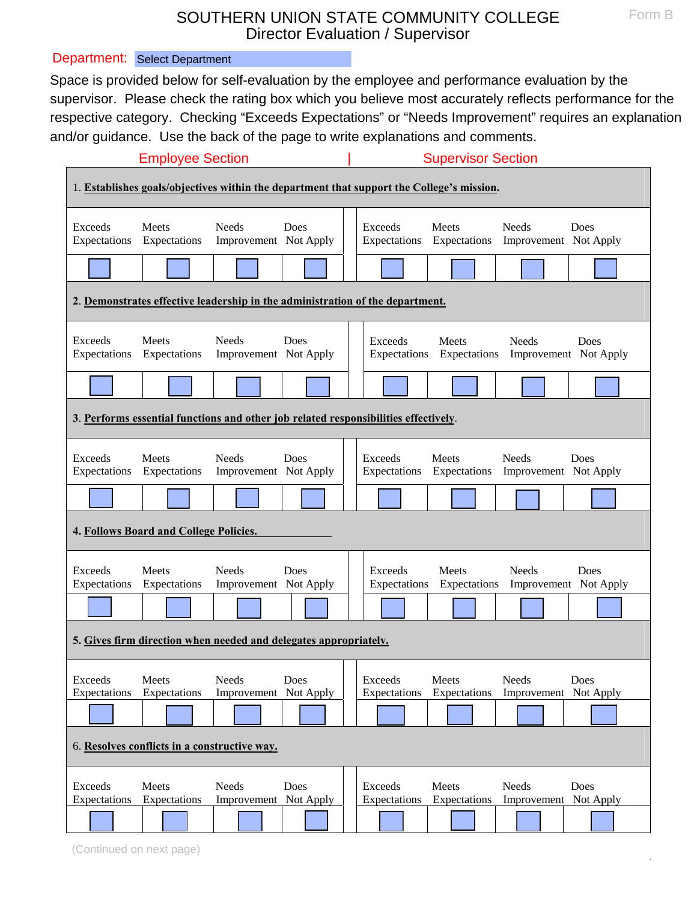## SOUTHERN UNION STATE COMMUNITY COLLEGE Director Evaluation / Supervisor

|                                              |                                                                                                                                                                                                                                                                                                                                                                                                                      | SOUTHERN UNION STATE COMMUNITY COLLEGE |      |  | Director Evaluation / Supervisor |                                    |                                       |      | Form B |
|----------------------------------------------|----------------------------------------------------------------------------------------------------------------------------------------------------------------------------------------------------------------------------------------------------------------------------------------------------------------------------------------------------------------------------------------------------------------------|----------------------------------------|------|--|----------------------------------|------------------------------------|---------------------------------------|------|--------|
|                                              | epartment: Select Department                                                                                                                                                                                                                                                                                                                                                                                         |                                        |      |  |                                  |                                    |                                       |      |        |
|                                              | pace is provided below for self-evaluation by the employee and performance evaluation by the<br>upervisor. Please check the rating box which you believe most accurately reflects performance for the<br>spective category. Checking "Exceeds Expectations" or "Needs Improvement" requires an explanatio<br>nd/or guidance. Use the back of the page to write explanations and comments.<br><b>Employee Section</b> |                                        |      |  |                                  | <b>Supervisor Section</b>          |                                       |      |        |
|                                              | 1. Establishes goals/objectives within the department that support the College's mission.                                                                                                                                                                                                                                                                                                                            |                                        |      |  |                                  |                                    |                                       |      |        |
| Exceeds<br>Expectations                      | Meets<br>Expectations                                                                                                                                                                                                                                                                                                                                                                                                | <b>Needs</b><br>Improvement Not Apply  | Does |  | Exceeds                          | Meets<br>Expectations Expectations | <b>Needs</b><br>Improvement Not Apply | Does |        |
|                                              |                                                                                                                                                                                                                                                                                                                                                                                                                      |                                        |      |  |                                  |                                    |                                       |      |        |
|                                              | 2. Demonstrates effective leadership in the administration of the department.                                                                                                                                                                                                                                                                                                                                        |                                        |      |  |                                  |                                    |                                       |      |        |
| Exceeds<br>Expectations                      | <b>Meets</b><br>Expectations                                                                                                                                                                                                                                                                                                                                                                                         | <b>Needs</b><br>Improvement Not Apply  | Does |  | Exceeds<br>Expectations          | Meets<br>Expectations              | <b>Needs</b><br>Improvement Not Apply | Does |        |
|                                              |                                                                                                                                                                                                                                                                                                                                                                                                                      |                                        |      |  |                                  |                                    |                                       |      |        |
|                                              | 3. Performs essential functions and other job related responsibilities effectively.                                                                                                                                                                                                                                                                                                                                  |                                        |      |  |                                  |                                    |                                       |      |        |
| Exceeds<br>Expectations                      | Meets<br>Expectations                                                                                                                                                                                                                                                                                                                                                                                                | <b>Needs</b><br>Improvement Not Apply  | Does |  | Exceeds                          | Meets<br>Expectations Expectations | <b>Needs</b><br>Improvement Not Apply | Does |        |
|                                              |                                                                                                                                                                                                                                                                                                                                                                                                                      |                                        |      |  |                                  |                                    |                                       |      |        |
|                                              | 4. Follows Board and College Policies.                                                                                                                                                                                                                                                                                                                                                                               |                                        |      |  |                                  |                                    |                                       |      |        |
| Exceeds<br>Expectations                      | Meets<br>Expectations                                                                                                                                                                                                                                                                                                                                                                                                | <b>Needs</b><br>Improvement Not Apply  | Does |  | Exceeds<br>Expectations          | <b>Meets</b><br>Expectations       | <b>Needs</b><br>Improvement Not Apply | Does |        |
|                                              |                                                                                                                                                                                                                                                                                                                                                                                                                      |                                        |      |  |                                  |                                    |                                       |      |        |
|                                              | 5. Gives firm direction when needed and delegates appropriately.                                                                                                                                                                                                                                                                                                                                                     |                                        |      |  |                                  |                                    |                                       |      |        |
| Exceeds<br>Expectations                      | Meets<br>Expectations                                                                                                                                                                                                                                                                                                                                                                                                | <b>Needs</b><br>Improvement Not Apply  | Does |  | Exceeds<br>Expectations          | Meets<br>Expectations              | <b>Needs</b><br>Improvement Not Apply | Does |        |
|                                              |                                                                                                                                                                                                                                                                                                                                                                                                                      |                                        |      |  |                                  |                                    |                                       |      |        |
| 6. Resolves conflicts in a constructive way. |                                                                                                                                                                                                                                                                                                                                                                                                                      |                                        |      |  |                                  |                                    |                                       |      |        |
| Exceeds<br>Expectations                      | Meets<br>Expectations                                                                                                                                                                                                                                                                                                                                                                                                | <b>Needs</b><br>Improvement Not Apply  | Does |  | Exceeds<br>Expectations          | <b>Meets</b><br>Expectations       | <b>Needs</b><br>Improvement Not Apply | Does |        |
|                                              |                                                                                                                                                                                                                                                                                                                                                                                                                      |                                        |      |  |                                  |                                    |                                       |      |        |
|                                              | (Continued on next page)                                                                                                                                                                                                                                                                                                                                                                                             |                                        |      |  |                                  |                                    |                                       |      |        |